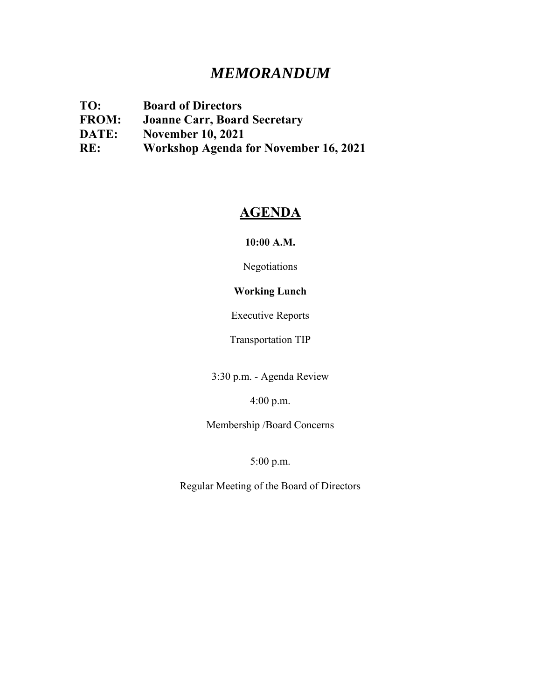# *MEMORANDUM*

**TO: Board of Directors FROM: Joanne Carr, Board Secretary DATE: November 10, 2021 RE: Workshop Agenda for November 16, 2021**

# **AGENDA**

**10:00 A.M.** 

Negotiations

## **Working Lunch**

Executive Reports

Transportation TIP

3:30 p.m. - Agenda Review

4:00 p.m.

Membership /Board Concerns

5:00 p.m.

Regular Meeting of the Board of Directors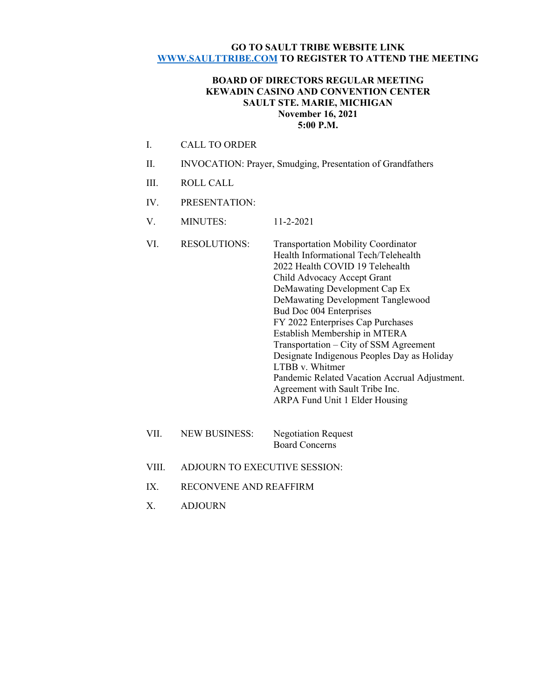#### **GO TO SAULT TRIBE WEBSITE LINK WWW.SAULTTRIBE.COM TO REGISTER TO ATTEND THE MEETING**

#### **BOARD OF DIRECTORS REGULAR MEETING KEWADIN CASINO AND CONVENTION CENTER SAULT STE. MARIE, MICHIGAN November 16, 2021 5:00 P.M.**

- I. CALL TO ORDER
- II. INVOCATION: Prayer, Smudging, Presentation of Grandfathers
- III. ROLL CALL
- IV. PRESENTATION:
- V. MINUTES: 11-2-2021
- VI. RESOLUTIONS: Transportation Mobility Coordinator Health Informational Tech/Telehealth 2022 Health COVID 19 Telehealth Child Advocacy Accept Grant DeMawating Development Cap Ex DeMawating Development Tanglewood Bud Doc 004 Enterprises FY 2022 Enterprises Cap Purchases Establish Membership in MTERA Transportation – City of SSM Agreement Designate Indigenous Peoples Day as Holiday LTBB v. Whitmer Pandemic Related Vacation Accrual Adjustment. Agreement with Sault Tribe Inc. ARPA Fund Unit 1 Elder Housing
- VII. NEW BUSINESS: Negotiation Request Board Concerns
- VIII. ADJOURN TO EXECUTIVE SESSION:
- IX. RECONVENE AND REAFFIRM
- X. ADJOURN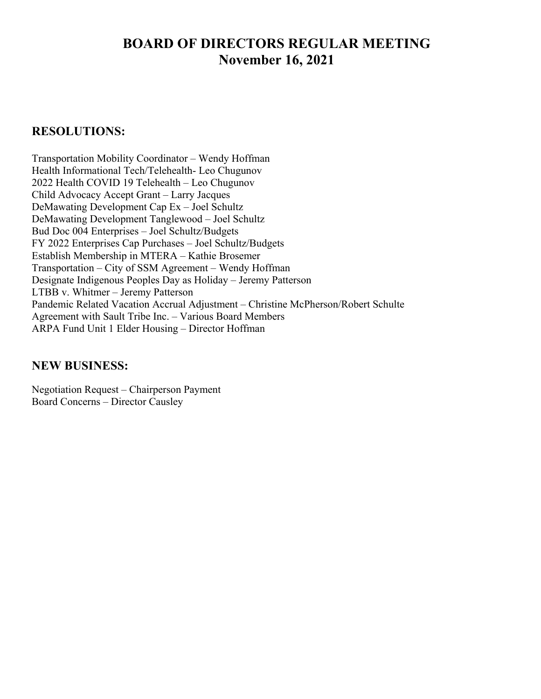# **BOARD OF DIRECTORS REGULAR MEETING November 16, 2021**

# **RESOLUTIONS:**

Transportation Mobility Coordinator – Wendy Hoffman Health Informational Tech/Telehealth- Leo Chugunov 2022 Health COVID 19 Telehealth – Leo Chugunov Child Advocacy Accept Grant – Larry Jacques DeMawating Development Cap Ex – Joel Schultz DeMawating Development Tanglewood – Joel Schultz Bud Doc 004 Enterprises – Joel Schultz/Budgets FY 2022 Enterprises Cap Purchases – Joel Schultz/Budgets Establish Membership in MTERA – Kathie Brosemer Transportation – City of SSM Agreement – Wendy Hoffman Designate Indigenous Peoples Day as Holiday – Jeremy Patterson LTBB v. Whitmer – Jeremy Patterson Pandemic Related Vacation Accrual Adjustment – Christine McPherson/Robert Schulte Agreement with Sault Tribe Inc. – Various Board Members ARPA Fund Unit 1 Elder Housing – Director Hoffman

# **NEW BUSINESS:**

Negotiation Request – Chairperson Payment Board Concerns – Director Causley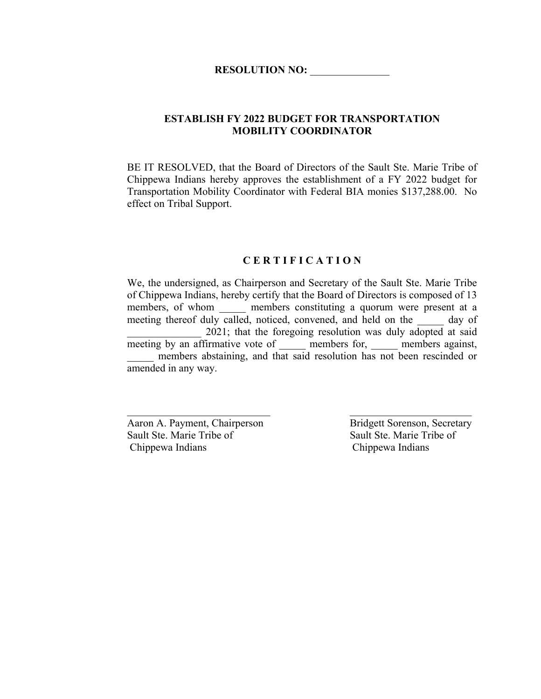## **ESTABLISH FY 2022 BUDGET FOR TRANSPORTATION MOBILITY COORDINATOR**

BE IT RESOLVED, that the Board of Directors of the Sault Ste. Marie Tribe of Chippewa Indians hereby approves the establishment of a FY 2022 budget for Transportation Mobility Coordinator with Federal BIA monies \$137,288.00. No effect on Tribal Support.

#### **C E R T I F I C A T I O N**

We, the undersigned, as Chairperson and Secretary of the Sault Ste. Marie Tribe of Chippewa Indians, hereby certify that the Board of Directors is composed of 13 members, of whom embers constituting a quorum were present at a meeting thereof duly called, noticed, convened, and held on the day of 2021; that the foregoing resolution was duly adopted at said meeting by an affirmative vote of \_\_\_\_\_\_ members for, \_\_\_\_\_ members against, members abstaining, and that said resolution has not been rescinded or amended in any way.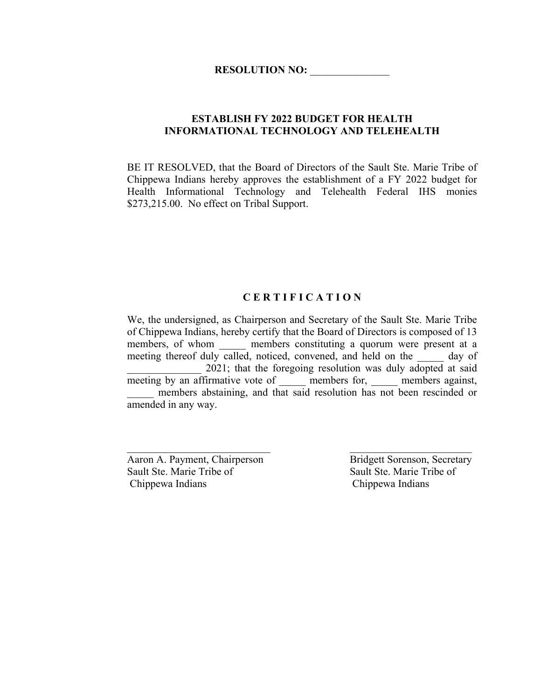## **ESTABLISH FY 2022 BUDGET FOR HEALTH INFORMATIONAL TECHNOLOGY AND TELEHEALTH**

BE IT RESOLVED, that the Board of Directors of the Sault Ste. Marie Tribe of Chippewa Indians hereby approves the establishment of a FY 2022 budget for Health Informational Technology and Telehealth Federal IHS monies \$273,215.00. No effect on Tribal Support.

## **C E R T I F I C A T I O N**

We, the undersigned, as Chairperson and Secretary of the Sault Ste. Marie Tribe of Chippewa Indians, hereby certify that the Board of Directors is composed of 13 members, of whom \_\_\_\_\_\_ members constituting a quorum were present at a meeting thereof duly called, noticed, convened, and held on the day of 2021; that the foregoing resolution was duly adopted at said meeting by an affirmative vote of members for, members against, members abstaining, and that said resolution has not been rescinded or amended in any way.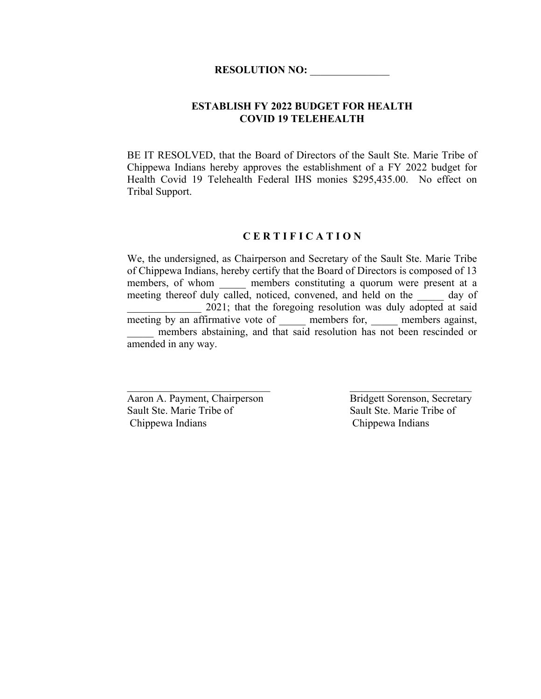#### **ESTABLISH FY 2022 BUDGET FOR HEALTH COVID 19 TELEHEALTH**

BE IT RESOLVED, that the Board of Directors of the Sault Ste. Marie Tribe of Chippewa Indians hereby approves the establishment of a FY 2022 budget for Health Covid 19 Telehealth Federal IHS monies \$295,435.00. No effect on Tribal Support.

#### **C E R T I F I C A T I O N**

We, the undersigned, as Chairperson and Secretary of the Sault Ste. Marie Tribe of Chippewa Indians, hereby certify that the Board of Directors is composed of 13 members, of whom \_\_\_\_\_\_ members constituting a quorum were present at a meeting thereof duly called, noticed, convened, and held on the day of 2021; that the foregoing resolution was duly adopted at said meeting by an affirmative vote of \_\_\_\_\_\_ members for, \_\_\_\_\_ members against, members abstaining, and that said resolution has not been rescinded or amended in any way.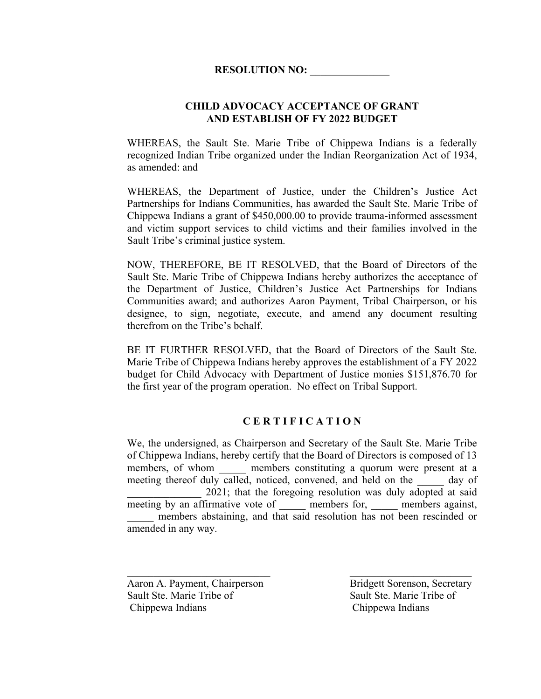## **CHILD ADVOCACY ACCEPTANCE OF GRANT AND ESTABLISH OF FY 2022 BUDGET**

WHEREAS, the Sault Ste. Marie Tribe of Chippewa Indians is a federally recognized Indian Tribe organized under the Indian Reorganization Act of 1934, as amended: and

WHEREAS, the Department of Justice, under the Children's Justice Act Partnerships for Indians Communities, has awarded the Sault Ste. Marie Tribe of Chippewa Indians a grant of \$450,000.00 to provide trauma-informed assessment and victim support services to child victims and their families involved in the Sault Tribe's criminal justice system.

NOW, THEREFORE, BE IT RESOLVED, that the Board of Directors of the Sault Ste. Marie Tribe of Chippewa Indians hereby authorizes the acceptance of the Department of Justice, Children's Justice Act Partnerships for Indians Communities award; and authorizes Aaron Payment, Tribal Chairperson, or his designee, to sign, negotiate, execute, and amend any document resulting therefrom on the Tribe's behalf.

BE IT FURTHER RESOLVED, that the Board of Directors of the Sault Ste. Marie Tribe of Chippewa Indians hereby approves the establishment of a FY 2022 budget for Child Advocacy with Department of Justice monies \$151,876.70 for the first year of the program operation. No effect on Tribal Support.

## **C E R T I F I C A T I O N**

We, the undersigned, as Chairperson and Secretary of the Sault Ste. Marie Tribe of Chippewa Indians, hereby certify that the Board of Directors is composed of 13 members, of whom \_\_\_\_\_\_ members constituting a quorum were present at a meeting thereof duly called, noticed, convened, and held on the day of 2021; that the foregoing resolution was duly adopted at said meeting by an affirmative vote of \_\_\_\_\_\_ members for, \_\_\_\_\_ members against, members abstaining, and that said resolution has not been rescinded or amended in any way.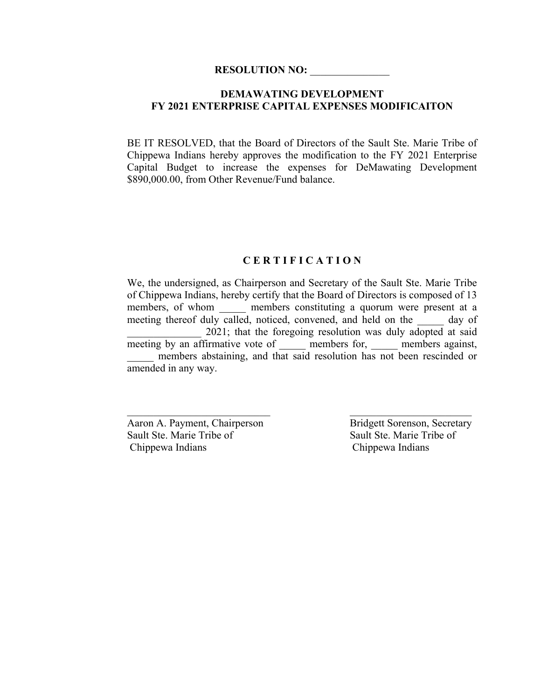## **DEMAWATING DEVELOPMENT FY 2021 ENTERPRISE CAPITAL EXPENSES MODIFICAITON**

BE IT RESOLVED, that the Board of Directors of the Sault Ste. Marie Tribe of Chippewa Indians hereby approves the modification to the FY 2021 Enterprise Capital Budget to increase the expenses for DeMawating Development \$890,000.00, from Other Revenue/Fund balance.

#### **C E R T I F I C A T I O N**

We, the undersigned, as Chairperson and Secretary of the Sault Ste. Marie Tribe of Chippewa Indians, hereby certify that the Board of Directors is composed of 13 members, of whom embers constituting a quorum were present at a meeting thereof duly called, noticed, convened, and held on the day of 2021; that the foregoing resolution was duly adopted at said meeting by an affirmative vote of \_\_\_\_\_\_ members for, \_\_\_\_\_ members against, members abstaining, and that said resolution has not been rescinded or amended in any way.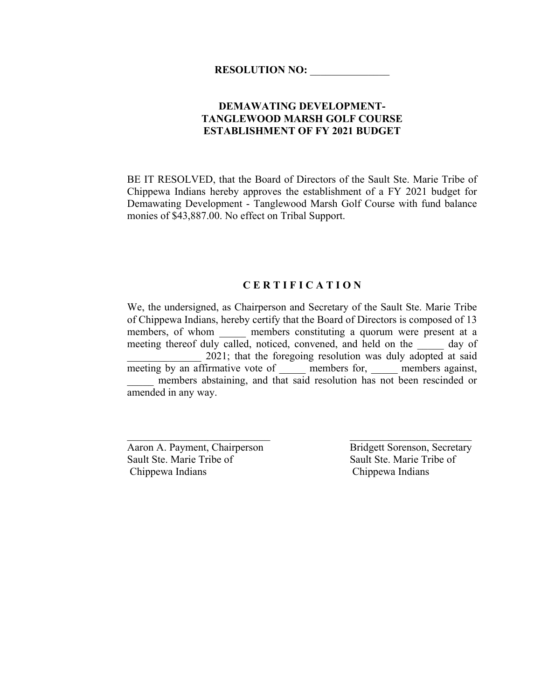## **DEMAWATING DEVELOPMENT-TANGLEWOOD MARSH GOLF COURSE ESTABLISHMENT OF FY 2021 BUDGET**

BE IT RESOLVED, that the Board of Directors of the Sault Ste. Marie Tribe of Chippewa Indians hereby approves the establishment of a FY 2021 budget for Demawating Development - Tanglewood Marsh Golf Course with fund balance monies of \$43,887.00. No effect on Tribal Support.

#### **C E R T I F I C A T I O N**

We, the undersigned, as Chairperson and Secretary of the Sault Ste. Marie Tribe of Chippewa Indians, hereby certify that the Board of Directors is composed of 13 members, of whom embers constituting a quorum were present at a meeting thereof duly called, noticed, convened, and held on the day of 2021; that the foregoing resolution was duly adopted at said meeting by an affirmative vote of members for, members against, members abstaining, and that said resolution has not been rescinded or amended in any way.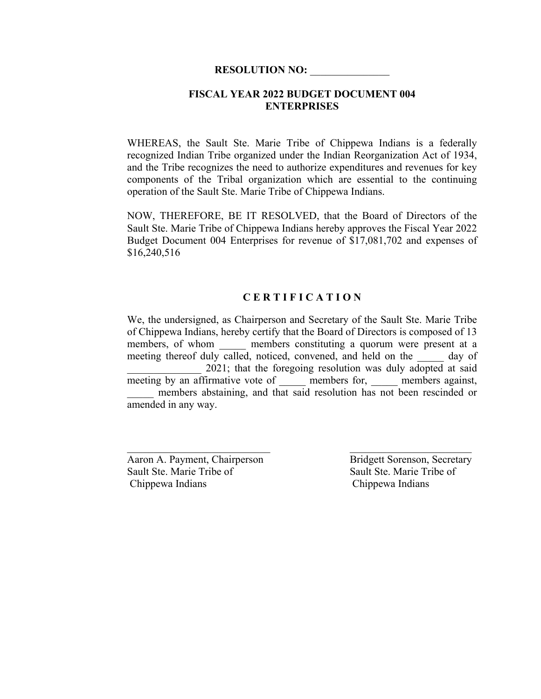#### **FISCAL YEAR 2022 BUDGET DOCUMENT 004 ENTERPRISES**

WHEREAS, the Sault Ste. Marie Tribe of Chippewa Indians is a federally recognized Indian Tribe organized under the Indian Reorganization Act of 1934, and the Tribe recognizes the need to authorize expenditures and revenues for key components of the Tribal organization which are essential to the continuing operation of the Sault Ste. Marie Tribe of Chippewa Indians.

NOW, THEREFORE, BE IT RESOLVED, that the Board of Directors of the Sault Ste. Marie Tribe of Chippewa Indians hereby approves the Fiscal Year 2022 Budget Document 004 Enterprises for revenue of \$17,081,702 and expenses of \$16,240,516

## **C E R T I F I C A T I O N**

We, the undersigned, as Chairperson and Secretary of the Sault Ste. Marie Tribe of Chippewa Indians, hereby certify that the Board of Directors is composed of 13 members, of whom a members constituting a quorum were present at a meeting thereof duly called, noticed, convened, and held on the day of 2021; that the foregoing resolution was duly adopted at said meeting by an affirmative vote of members for, members against, members abstaining, and that said resolution has not been rescinded or amended in any way.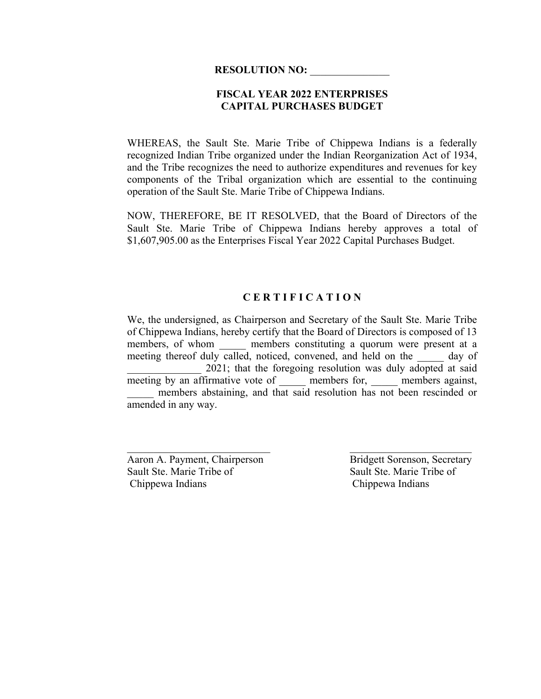## **FISCAL YEAR 2022 ENTERPRISES CAPITAL PURCHASES BUDGET**

WHEREAS, the Sault Ste. Marie Tribe of Chippewa Indians is a federally recognized Indian Tribe organized under the Indian Reorganization Act of 1934, and the Tribe recognizes the need to authorize expenditures and revenues for key components of the Tribal organization which are essential to the continuing operation of the Sault Ste. Marie Tribe of Chippewa Indians.

NOW, THEREFORE, BE IT RESOLVED, that the Board of Directors of the Sault Ste. Marie Tribe of Chippewa Indians hereby approves a total of \$1,607,905.00 as the Enterprises Fiscal Year 2022 Capital Purchases Budget.

## **C E R T I F I C A T I O N**

We, the undersigned, as Chairperson and Secretary of the Sault Ste. Marie Tribe of Chippewa Indians, hereby certify that the Board of Directors is composed of 13 members, of whom a members constituting a quorum were present at a meeting thereof duly called, noticed, convened, and held on the day of 2021; that the foregoing resolution was duly adopted at said meeting by an affirmative vote of members for, members against, members abstaining, and that said resolution has not been rescinded or amended in any way.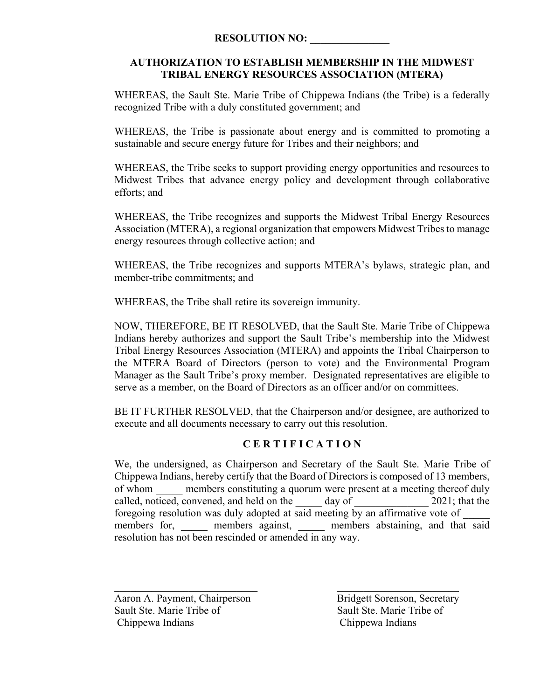## **AUTHORIZATION TO ESTABLISH MEMBERSHIP IN THE MIDWEST TRIBAL ENERGY RESOURCES ASSOCIATION (MTERA)**

WHEREAS, the Sault Ste. Marie Tribe of Chippewa Indians (the Tribe) is a federally recognized Tribe with a duly constituted government; and

WHEREAS, the Tribe is passionate about energy and is committed to promoting a sustainable and secure energy future for Tribes and their neighbors; and

WHEREAS, the Tribe seeks to support providing energy opportunities and resources to Midwest Tribes that advance energy policy and development through collaborative efforts; and

WHEREAS, the Tribe recognizes and supports the Midwest Tribal Energy Resources Association (MTERA), a regional organization that empowers Midwest Tribes to manage energy resources through collective action; and

WHEREAS, the Tribe recognizes and supports MTERA's bylaws, strategic plan, and member-tribe commitments; and

WHEREAS, the Tribe shall retire its sovereign immunity.

NOW, THEREFORE, BE IT RESOLVED, that the Sault Ste. Marie Tribe of Chippewa Indians hereby authorizes and support the Sault Tribe's membership into the Midwest Tribal Energy Resources Association (MTERA) and appoints the Tribal Chairperson to the MTERA Board of Directors (person to vote) and the Environmental Program Manager as the Sault Tribe's proxy member. Designated representatives are eligible to serve as a member, on the Board of Directors as an officer and/or on committees.

BE IT FURTHER RESOLVED, that the Chairperson and/or designee, are authorized to execute and all documents necessary to carry out this resolution.

## **C E R T I F I C A T I O N**

We, the undersigned, as Chairperson and Secretary of the Sault Ste. Marie Tribe of Chippewa Indians, hereby certify that the Board of Directors is composed of 13 members, of whom members constituting a quorum were present at a meeting thereof duly called, noticed, convened, and held on the day of 2021; that the foregoing resolution was duly adopted at said meeting by an affirmative vote of members for, members against, members abstaining, and that said resolution has not been rescinded or amended in any way.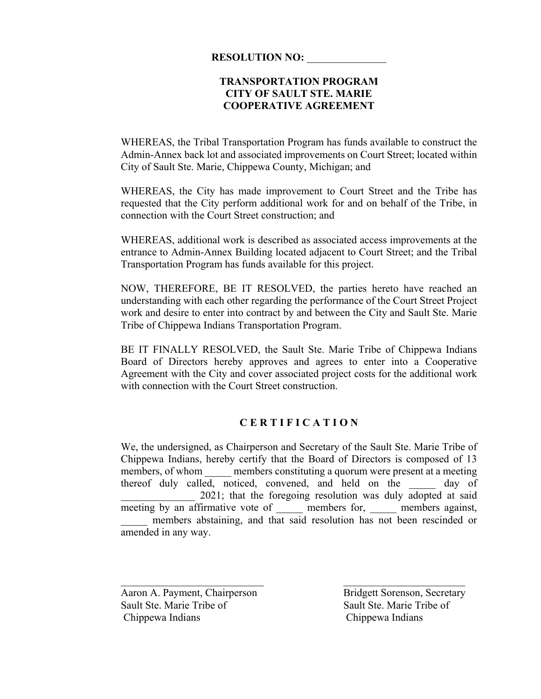## **TRANSPORTATION PROGRAM CITY OF SAULT STE. MARIE COOPERATIVE AGREEMENT**

WHEREAS, the Tribal Transportation Program has funds available to construct the Admin-Annex back lot and associated improvements on Court Street; located within City of Sault Ste. Marie, Chippewa County, Michigan; and

WHEREAS, the City has made improvement to Court Street and the Tribe has requested that the City perform additional work for and on behalf of the Tribe, in connection with the Court Street construction; and

WHEREAS, additional work is described as associated access improvements at the entrance to Admin-Annex Building located adjacent to Court Street; and the Tribal Transportation Program has funds available for this project.

NOW, THEREFORE, BE IT RESOLVED, the parties hereto have reached an understanding with each other regarding the performance of the Court Street Project work and desire to enter into contract by and between the City and Sault Ste. Marie Tribe of Chippewa Indians Transportation Program.

BE IT FINALLY RESOLVED, the Sault Ste. Marie Tribe of Chippewa Indians Board of Directors hereby approves and agrees to enter into a Cooperative Agreement with the City and cover associated project costs for the additional work with connection with the Court Street construction.

## **C E R T I F I C A T I O N**

We, the undersigned, as Chairperson and Secretary of the Sault Ste. Marie Tribe of Chippewa Indians, hereby certify that the Board of Directors is composed of 13 members, of whom members constituting a quorum were present at a meeting thereof duly called, noticed, convened, and held on the day of 2021; that the foregoing resolution was duly adopted at said meeting by an affirmative vote of \_\_\_\_\_\_ members for, \_\_\_\_\_ members against, members abstaining, and that said resolution has not been rescinded or amended in any way.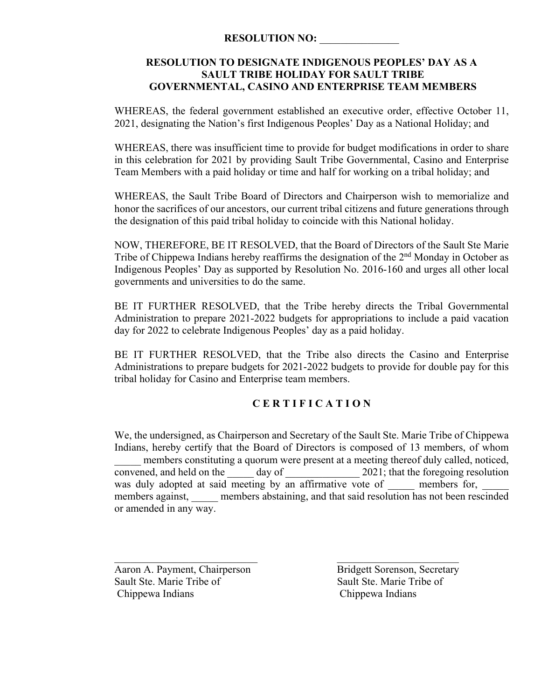## **RESOLUTION TO DESIGNATE INDIGENOUS PEOPLES' DAY AS A SAULT TRIBE HOLIDAY FOR SAULT TRIBE GOVERNMENTAL, CASINO AND ENTERPRISE TEAM MEMBERS**

WHEREAS, the federal government established an executive order, effective October 11, 2021, designating the Nation's first Indigenous Peoples' Day as a National Holiday; and

WHEREAS, there was insufficient time to provide for budget modifications in order to share in this celebration for 2021 by providing Sault Tribe Governmental, Casino and Enterprise Team Members with a paid holiday or time and half for working on a tribal holiday; and

WHEREAS, the Sault Tribe Board of Directors and Chairperson wish to memorialize and honor the sacrifices of our ancestors, our current tribal citizens and future generations through the designation of this paid tribal holiday to coincide with this National holiday.

NOW, THEREFORE, BE IT RESOLVED, that the Board of Directors of the Sault Ste Marie Tribe of Chippewa Indians hereby reaffirms the designation of the 2<sup>nd</sup> Monday in October as Indigenous Peoples' Day as supported by Resolution No. 2016-160 and urges all other local governments and universities to do the same.

BE IT FURTHER RESOLVED, that the Tribe hereby directs the Tribal Governmental Administration to prepare 2021-2022 budgets for appropriations to include a paid vacation day for 2022 to celebrate Indigenous Peoples' day as a paid holiday.

BE IT FURTHER RESOLVED, that the Tribe also directs the Casino and Enterprise Administrations to prepare budgets for 2021-2022 budgets to provide for double pay for this tribal holiday for Casino and Enterprise team members.

## **C E R T I F I C A T I O N**

We, the undersigned, as Chairperson and Secretary of the Sault Ste. Marie Tribe of Chippewa Indians, hereby certify that the Board of Directors is composed of 13 members, of whom members constituting a quorum were present at a meeting thereof duly called, noticed, convened, and held on the day of  $2021$ ; that the foregoing resolution was duly adopted at said meeting by an affirmative vote of members for, members against, members abstaining, and that said resolution has not been rescinded or amended in any way.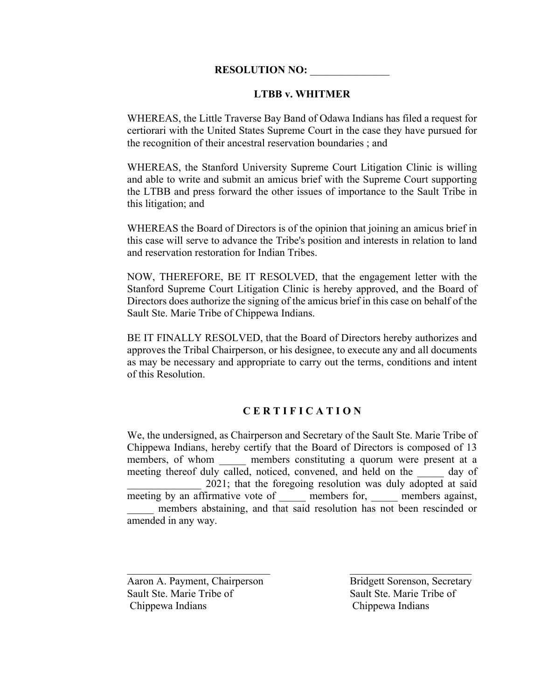#### **LTBB v. WHITMER**

WHEREAS, the Little Traverse Bay Band of Odawa Indians has filed a request for certiorari with the United States Supreme Court in the case they have pursued for the recognition of their ancestral reservation boundaries ; and

WHEREAS, the Stanford University Supreme Court Litigation Clinic is willing and able to write and submit an amicus brief with the Supreme Court supporting the LTBB and press forward the other issues of importance to the Sault Tribe in this litigation; and

WHEREAS the Board of Directors is of the opinion that joining an amicus brief in this case will serve to advance the Tribe's position and interests in relation to land and reservation restoration for Indian Tribes.

NOW, THEREFORE, BE IT RESOLVED, that the engagement letter with the Stanford Supreme Court Litigation Clinic is hereby approved, and the Board of Directors does authorize the signing of the amicus brief in this case on behalf of the Sault Ste. Marie Tribe of Chippewa Indians.

BE IT FINALLY RESOLVED, that the Board of Directors hereby authorizes and approves the Tribal Chairperson, or his designee, to execute any and all documents as may be necessary and appropriate to carry out the terms, conditions and intent of this Resolution.

## **C E R T I F I C A T I O N**

We, the undersigned, as Chairperson and Secretary of the Sault Ste. Marie Tribe of Chippewa Indians, hereby certify that the Board of Directors is composed of 13 members, of whom and members constituting a quorum were present at a meeting thereof duly called, noticed, convened, and held on the day of 2021; that the foregoing resolution was duly adopted at said meeting by an affirmative vote of \_\_\_\_\_\_ members for, \_\_\_\_\_\_ members against, members abstaining, and that said resolution has not been rescinded or amended in any way.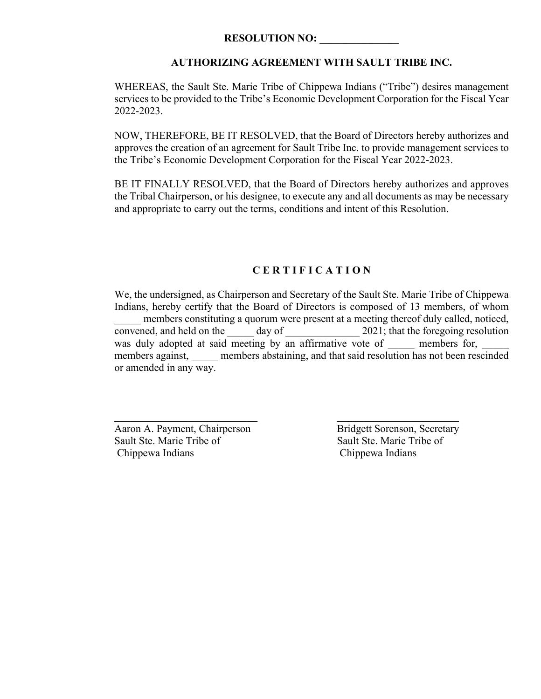## **AUTHORIZING AGREEMENT WITH SAULT TRIBE INC.**

WHEREAS, the Sault Ste. Marie Tribe of Chippewa Indians ("Tribe") desires management services to be provided to the Tribe's Economic Development Corporation for the Fiscal Year 2022-2023.

NOW, THEREFORE, BE IT RESOLVED, that the Board of Directors hereby authorizes and approves the creation of an agreement for Sault Tribe Inc. to provide management services to the Tribe's Economic Development Corporation for the Fiscal Year 2022-2023.

BE IT FINALLY RESOLVED, that the Board of Directors hereby authorizes and approves the Tribal Chairperson, or his designee, to execute any and all documents as may be necessary and appropriate to carry out the terms, conditions and intent of this Resolution.

## **C E R T I F I C A T I O N**

We, the undersigned, as Chairperson and Secretary of the Sault Ste. Marie Tribe of Chippewa Indians, hereby certify that the Board of Directors is composed of 13 members, of whom members constituting a quorum were present at a meeting thereof duly called, noticed, convened, and held on the  $\frac{day}{dx}$  day of  $\frac{2021}{x}$ ; that the foregoing resolution was duly adopted at said meeting by an affirmative vote of members for, members against, members abstaining, and that said resolution has not been rescinded or amended in any way.